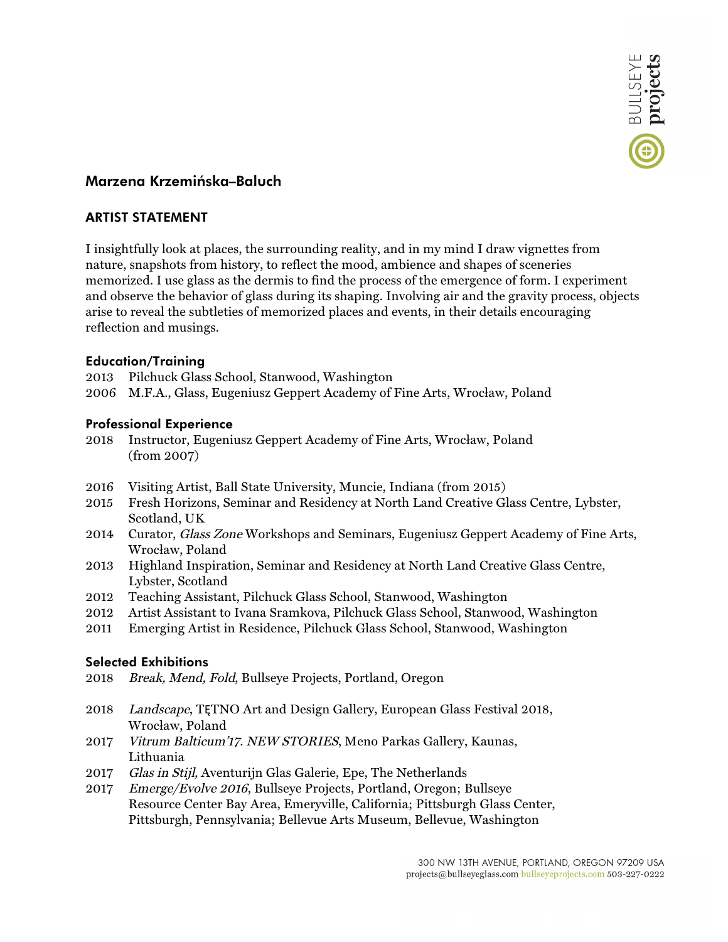

# **Marzena Krzemińska–Baluch**

## **ARTIST STATEMENT**

I insightfully look at places, the surrounding reality, and in my mind I draw vignettes from nature, snapshots from history, to reflect the mood, ambience and shapes of sceneries memorized. I use glass as the dermis to find the process of the emergence of form. I experiment and observe the behavior of glass during its shaping. Involving air and the gravity process, objects arise to reveal the subtleties of memorized places and events, in their details encouraging reflection and musings.

## **Education/Training**

- 2013 Pilchuck Glass School, Stanwood, Washington
- 2006 M.F.A., Glass, Eugeniusz Geppert Academy of Fine Arts, Wrocław, Poland

#### **Professional Experience**

- 2018 Instructor, Eugeniusz Geppert Academy of Fine Arts, Wrocław, Poland (from 2007)
- 2016 Visiting Artist, Ball State University, Muncie, Indiana (from 2015)
- 2015 Fresh Horizons, Seminar and Residency at North Land Creative Glass Centre, Lybster, Scotland, UK
- 2014 Curator, *Glass Zone* Workshops and Seminars, Eugeniusz Geppert Academy of Fine Arts, Wrocław, Poland
- 2013 Highland Inspiration, Seminar and Residency at North Land Creative Glass Centre, Lybster, Scotland
- 2012 Teaching Assistant, Pilchuck Glass School, Stanwood, Washington
- 2012 Artist Assistant to Ivana Sramkova, Pilchuck Glass School, Stanwood, Washington
- 2011 Emerging Artist in Residence, Pilchuck Glass School, Stanwood, Washington

#### **Selected Exhibitions**

- 2018 Break, Mend, Fold, Bullseye Projects, Portland, Oregon
- 2018 Landscape, TĘTNO Art and Design Gallery, European Glass Festival 2018, Wrocław, Poland
- 2017 Vitrum Balticum'17. NEW STORIES, Meno Parkas Gallery, Kaunas, Lithuania
- 2017 Glas in Stijl, Aventurijn Glas Galerie, Epe, The Netherlands
- 2017 Emerge/Evolve 2016, Bullseye Projects, Portland, Oregon; Bullseye Resource Center Bay Area, Emeryville, California; Pittsburgh Glass Center, Pittsburgh, Pennsylvania; Bellevue Arts Museum, Bellevue, Washington